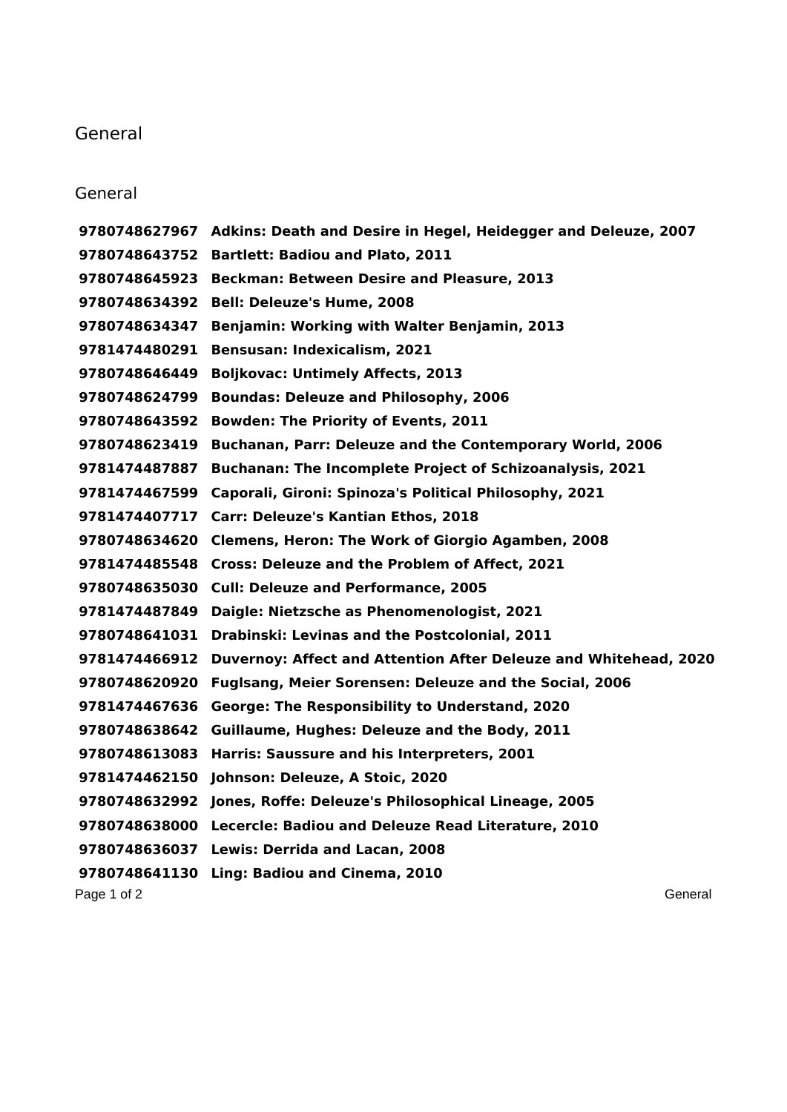## General

## General

Page 1 of 2 General According to the Contract of 2 General According to the Contract of 2 General According to the Contract of 2 General According to the Contract of 2 General According to the Contract of 2 General Accordi **Adkins: Death and Desire in Hegel, Heidegger and Deleuze, 2007 Bartlett: Badiou and Plato, 2011 Beckman: Between Desire and Pleasure, 2013 Bell: Deleuze's Hume, 2008 Benjamin: Working with Walter Benjamin, 2013 Bensusan: Indexicalism, 2021 Boljkovac: Untimely Affects, 2013 Boundas: Deleuze and Philosophy, 2006 Bowden: The Priority of Events, 2011 Buchanan, Parr: Deleuze and the Contemporary World, 2006 Buchanan: The Incomplete Project of Schizoanalysis, 2021 Caporali, Gironi: Spinoza's Political Philosophy, 2021 Carr: Deleuze's Kantian Ethos, 2018 Clemens, Heron: The Work of Giorgio Agamben, 2008 Cross: Deleuze and the Problem of Affect, 2021 Cull: Deleuze and Performance, 2005 Daigle: Nietzsche as Phenomenologist, 2021 Drabinski: Levinas and the Postcolonial, 2011 Duvernoy: Affect and Attention After Deleuze and Whitehead, 2020 Fuglsang, Meier Sorensen: Deleuze and the Social, 2006 George: The Responsibility to Understand, 2020 Guillaume, Hughes: Deleuze and the Body, 2011 Harris: Saussure and his Interpreters, 2001 Johnson: Deleuze, A Stoic, 2020 Jones, Roffe: Deleuze's Philosophical Lineage, 2005 Lecercle: Badiou and Deleuze Read Literature, 2010 Lewis: Derrida and Lacan, 2008 Ling: Badiou and Cinema, 2010**